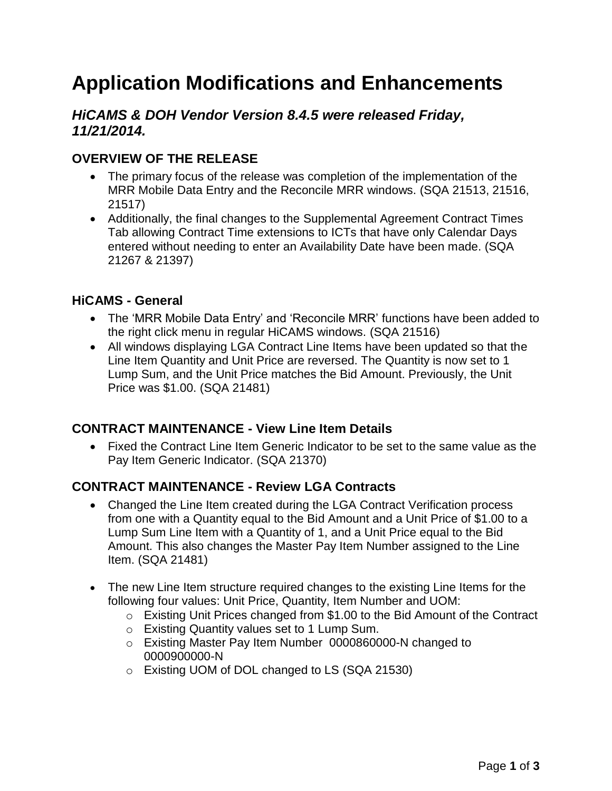# **Application Modifications and Enhancements**

### *HiCAMS & DOH Vendor Version 8.4.5 were released Friday, 11/21/2014.*

## **OVERVIEW OF THE RELEASE**

- The primary focus of the release was completion of the implementation of the MRR Mobile Data Entry and the Reconcile MRR windows. (SQA 21513, 21516, 21517)
- Additionally, the final changes to the Supplemental Agreement Contract Times Tab allowing Contract Time extensions to ICTs that have only Calendar Days entered without needing to enter an Availability Date have been made. (SQA 21267 & 21397)

#### **HiCAMS - General**

- The 'MRR Mobile Data Entry' and 'Reconcile MRR' functions have been added to the right click menu in regular HiCAMS windows. (SQA 21516)
- All windows displaying LGA Contract Line Items have been updated so that the Line Item Quantity and Unit Price are reversed. The Quantity is now set to 1 Lump Sum, and the Unit Price matches the Bid Amount. Previously, the Unit Price was \$1.00. (SQA 21481)

#### **CONTRACT MAINTENANCE - View Line Item Details**

 Fixed the Contract Line Item Generic Indicator to be set to the same value as the Pay Item Generic Indicator. (SQA 21370)

#### **CONTRACT MAINTENANCE - Review LGA Contracts**

- Changed the Line Item created during the LGA Contract Verification process from one with a Quantity equal to the Bid Amount and a Unit Price of \$1.00 to a Lump Sum Line Item with a Quantity of 1, and a Unit Price equal to the Bid Amount. This also changes the Master Pay Item Number assigned to the Line Item. (SQA 21481)
- The new Line Item structure required changes to the existing Line Items for the following four values: Unit Price, Quantity, Item Number and UOM:
	- o Existing Unit Prices changed from \$1.00 to the Bid Amount of the Contract
	- o Existing Quantity values set to 1 Lump Sum.
	- o Existing Master Pay Item Number 0000860000-N changed to 0000900000-N
	- o Existing UOM of DOL changed to LS (SQA 21530)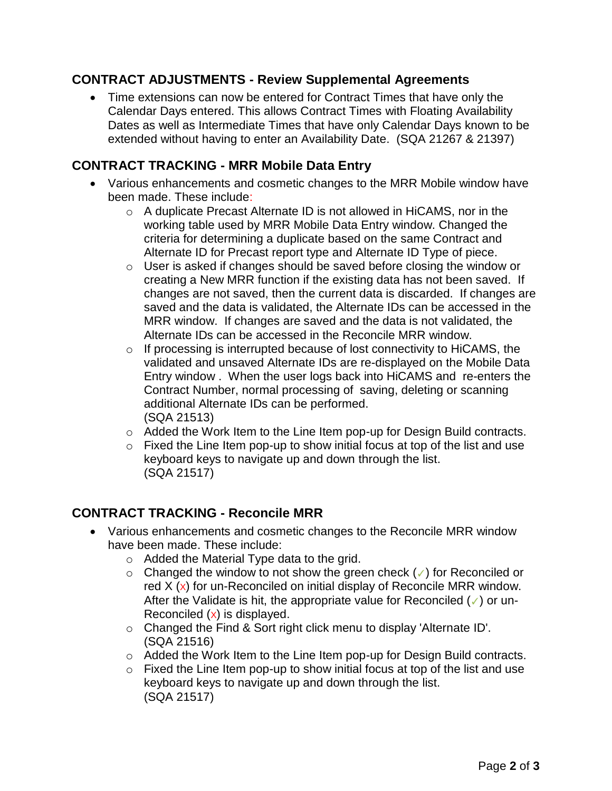#### **CONTRACT ADJUSTMENTS - Review Supplemental Agreements**

 Time extensions can now be entered for Contract Times that have only the Calendar Days entered. This allows Contract Times with Floating Availability Dates as well as Intermediate Times that have only Calendar Days known to be extended without having to enter an Availability Date. (SQA 21267 & 21397)

#### **CONTRACT TRACKING - MRR Mobile Data Entry**

- Various enhancements and cosmetic changes to the MRR Mobile window have been made. These include:
	- $\circ$  A duplicate Precast Alternate ID is not allowed in HiCAMS, nor in the working table used by MRR Mobile Data Entry window. Changed the criteria for determining a duplicate based on the same Contract and Alternate ID for Precast report type and Alternate ID Type of piece.
	- o User is asked if changes should be saved before closing the window or creating a New MRR function if the existing data has not been saved. If changes are not saved, then the current data is discarded. If changes are saved and the data is validated, the Alternate IDs can be accessed in the MRR window. If changes are saved and the data is not validated, the Alternate IDs can be accessed in the Reconcile MRR window.
	- $\circ$  If processing is interrupted because of lost connectivity to HiCAMS, the validated and unsaved Alternate IDs are re-displayed on the Mobile Data Entry window . When the user logs back into HiCAMS and re-enters the Contract Number, normal processing of saving, deleting or scanning additional Alternate IDs can be performed. (SQA 21513)
	- o Added the Work Item to the Line Item pop-up for Design Build contracts.
	- $\circ$  Fixed the Line Item pop-up to show initial focus at top of the list and use keyboard keys to navigate up and down through the list. (SQA 21517)

#### **CONTRACT TRACKING - Reconcile MRR**

- Various enhancements and cosmetic changes to the Reconcile MRR window have been made. These include:
	- o Added the Material Type data to the grid.
	- o Changed the window to not show the green check (✓) for Reconciled or red  $X$  (x) for un-Reconciled on initial display of Reconcile MRR window. After the Validate is hit, the appropriate value for Reconciled (✓) or un-Reconciled  $(x)$  is displayed.
	- o Changed the Find & Sort right click menu to display 'Alternate ID'. (SQA 21516)
	- o Added the Work Item to the Line Item pop-up for Design Build contracts.
	- $\circ$  Fixed the Line Item pop-up to show initial focus at top of the list and use keyboard keys to navigate up and down through the list. (SQA 21517)